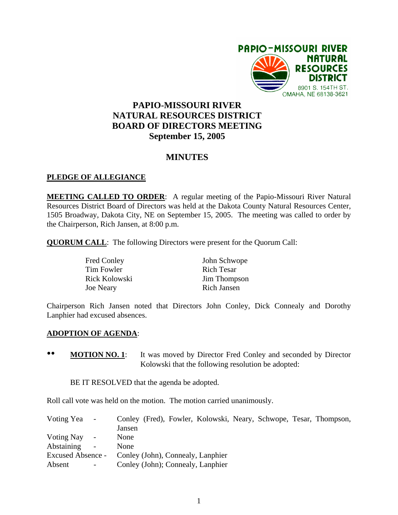

# **PAPIO-MISSOURI RIVER NATURAL RESOURCES DISTRICT BOARD OF DIRECTORS MEETING September 15, 2005**

## **MINUTES**

### **PLEDGE OF ALLEGIANCE**

**MEETING CALLED TO ORDER**: A regular meeting of the Papio-Missouri River Natural Resources District Board of Directors was held at the Dakota County Natural Resources Center, 1505 Broadway, Dakota City, NE on September 15, 2005. The meeting was called to order by the Chairperson, Rich Jansen, at 8:00 p.m.

**QUORUM CALL**: The following Directors were present for the Quorum Call:

| <b>Fred Conley</b> | John Schwope      |
|--------------------|-------------------|
| Tim Fowler         | <b>Rich Tesar</b> |
| Rick Kolowski      | Jim Thompson      |
| <b>Joe Neary</b>   | Rich Jansen       |

Chairperson Rich Jansen noted that Directors John Conley, Dick Connealy and Dorothy Lanphier had excused absences.

### **ADOPTION OF AGENDA**:

•• **MOTION NO. 1**: It was moved by Director Fred Conley and seconded by Director Kolowski that the following resolution be adopted:

BE IT RESOLVED that the agenda be adopted.

Roll call vote was held on the motion. The motion carried unanimously.

| Voting Yea               | $\sim$                   |        |  |                                   |  | Conley (Fred), Fowler, Kolowski, Neary, Schwope, Tesar, Thompson, |
|--------------------------|--------------------------|--------|--|-----------------------------------|--|-------------------------------------------------------------------|
|                          |                          | Jansen |  |                                   |  |                                                                   |
| Voting Nay               | $\sim$                   | None   |  |                                   |  |                                                                   |
| Abstaining               | $\overline{\phantom{a}}$ | None   |  |                                   |  |                                                                   |
| <b>Excused Absence -</b> |                          |        |  | Conley (John), Connealy, Lanphier |  |                                                                   |
| Absent                   | $\sim$ $-$               |        |  | Conley (John); Connealy, Lanphier |  |                                                                   |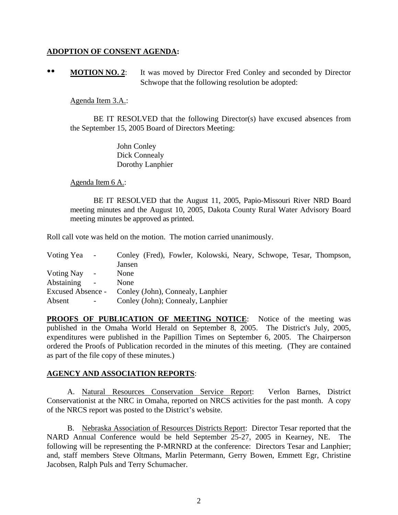### **ADOPTION OF CONSENT AGENDA:**

•• **MOTION NO. 2**: It was moved by Director Fred Conley and seconded by Director Schwope that the following resolution be adopted:

### Agenda Item 3.A.:

 BE IT RESOLVED that the following Director(s) have excused absences from the September 15, 2005 Board of Directors Meeting:

> John Conley Dick Connealy Dorothy Lanphier

Agenda Item 6 A.:

 BE IT RESOLVED that the August 11, 2005, Papio-Missouri River NRD Board meeting minutes and the August 10, 2005, Dakota County Rural Water Advisory Board meeting minutes be approved as printed.

Roll call vote was held on the motion. The motion carried unanimously.

| Voting Yea -      |                          |        |  |                                   |  | Conley (Fred), Fowler, Kolowski, Neary, Schwope, Tesar, Thompson, |
|-------------------|--------------------------|--------|--|-----------------------------------|--|-------------------------------------------------------------------|
|                   |                          | Jansen |  |                                   |  |                                                                   |
| <b>Voting Nay</b> | $\sim$                   | None   |  |                                   |  |                                                                   |
| Abstaining        | $\overline{\phantom{a}}$ | None   |  |                                   |  |                                                                   |
| Excused Absence - |                          |        |  | Conley (John), Connealy, Lanphier |  |                                                                   |
| Absent            | $\overline{\phantom{a}}$ |        |  | Conley (John); Connealy, Lanphier |  |                                                                   |

**PROOFS OF PUBLICATION OF MEETING NOTICE**: Notice of the meeting was published in the Omaha World Herald on September 8, 2005. The District's July, 2005, expenditures were published in the Papillion Times on September 6, 2005. The Chairperson ordered the Proofs of Publication recorded in the minutes of this meeting. (They are contained as part of the file copy of these minutes.)

### **AGENCY AND ASSOCIATION REPORTS**:

A. Natural Resources Conservation Service Report: Verlon Barnes, District Conservationist at the NRC in Omaha, reported on NRCS activities for the past month. A copy of the NRCS report was posted to the District's website.

B. Nebraska Association of Resources Districts Report: Director Tesar reported that the NARD Annual Conference would be held September 25-27, 2005 in Kearney, NE. The following will be representing the P-MRNRD at the conference: Directors Tesar and Lanphier; and, staff members Steve Oltmans, Marlin Petermann, Gerry Bowen, Emmett Egr, Christine Jacobsen, Ralph Puls and Terry Schumacher.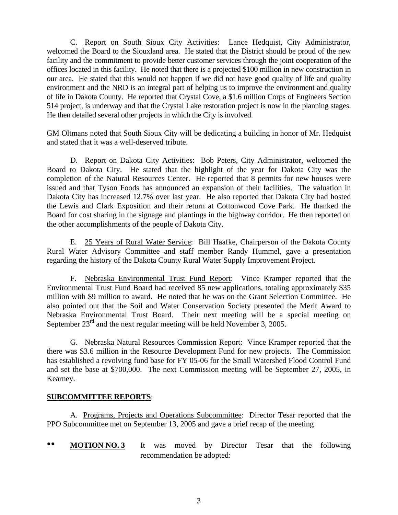C. Report on South Sioux City Activities: Lance Hedquist, City Administrator, welcomed the Board to the Siouxland area. He stated that the District should be proud of the new facility and the commitment to provide better customer services through the joint cooperation of the offices located in this facility. He noted that there is a projected \$100 million in new construction in our area. He stated that this would not happen if we did not have good quality of life and quality environment and the NRD is an integral part of helping us to improve the environment and quality of life in Dakota County. He reported that Crystal Cove, a \$1.6 million Corps of Engineers Section 514 project, is underway and that the Crystal Lake restoration project is now in the planning stages. He then detailed several other projects in which the City is involved.

GM Oltmans noted that South Sioux City will be dedicating a building in honor of Mr. Hedquist and stated that it was a well-deserved tribute.

D. Report on Dakota City Activities: Bob Peters, City Administrator, welcomed the Board to Dakota City. He stated that the highlight of the year for Dakota City was the completion of the Natural Resources Center. He reported that 8 permits for new houses were issued and that Tyson Foods has announced an expansion of their facilities. The valuation in Dakota City has increased 12.7% over last year. He also reported that Dakota City had hosted the Lewis and Clark Exposition and their return at Cottonwood Cove Park. He thanked the Board for cost sharing in the signage and plantings in the highway corridor. He then reported on the other accomplishments of the people of Dakota City.

E. 25 Years of Rural Water Service: Bill Haafke, Chairperson of the Dakota County Rural Water Advisory Committee and staff member Randy Hummel, gave a presentation regarding the history of the Dakota County Rural Water Supply Improvement Project.

F. Nebraska Environmental Trust Fund Report: Vince Kramper reported that the Environmental Trust Fund Board had received 85 new applications, totaling approximately \$35 million with \$9 million to award. He noted that he was on the Grant Selection Committee. He also pointed out that the Soil and Water Conservation Society presented the Merit Award to Nebraska Environmental Trust Board. Their next meeting will be a special meeting on September  $23^{\text{rd}}$  and the next regular meeting will be held November 3, 2005.

G. Nebraska Natural Resources Commission Report: Vince Kramper reported that the there was \$3.6 million in the Resource Development Fund for new projects. The Commission has established a revolving fund base for FY 05-06 for the Small Watershed Flood Control Fund and set the base at \$700,000. The next Commission meeting will be September 27, 2005, in Kearney.

### **SUBCOMMITTEE REPORTS**:

 A. Programs, Projects and Operations Subcommittee: Director Tesar reported that the PPO Subcommittee met on September 13, 2005 and gave a brief recap of the meeting

•• **MOTION NO. 3** It was moved by Director Tesar that the following recommendation be adopted: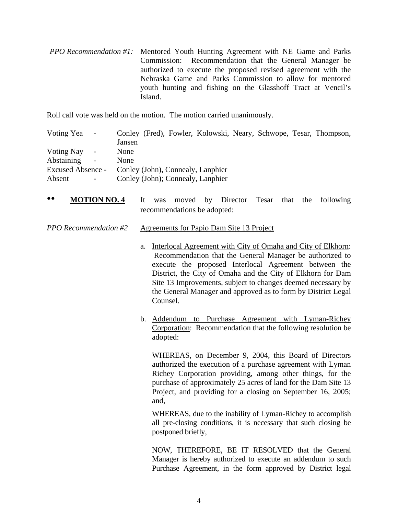*PPO Recommendation #1:* Mentored Youth Hunting Agreement with NE Game and Parks Commission: Recommendation that the General Manager be authorized to execute the proposed revised agreement with the Nebraska Game and Parks Commission to allow for mentored youth hunting and fishing on the Glasshoff Tract at Vencil's Island.

Roll call vote was held on the motion. The motion carried unanimously.

| Voting Yea -      |            |        |  |                                   |  | Conley (Fred), Fowler, Kolowski, Neary, Schwope, Tesar, Thompson, |
|-------------------|------------|--------|--|-----------------------------------|--|-------------------------------------------------------------------|
|                   |            | Jansen |  |                                   |  |                                                                   |
| Voting Nay        | $\sim$ .   | None   |  |                                   |  |                                                                   |
| Abstaining        | $\sim$     | None   |  |                                   |  |                                                                   |
| Excused Absence - |            |        |  | Conley (John), Connealy, Lanphier |  |                                                                   |
| Absent            | $\sim$ $-$ |        |  | Conley (John); Connealy, Lanphier |  |                                                                   |

•• **MOTION NO. 4** It was moved by Director Tesar that the following recommendations be adopted:

#### *PPO Recommendation #2* Agreements for Papio Dam Site 13 Project

- a. Interlocal Agreement with City of Omaha and City of Elkhorn: Recommendation that the General Manager be authorized to execute the proposed Interlocal Agreement between the District, the City of Omaha and the City of Elkhorn for Dam Site 13 Improvements, subject to changes deemed necessary by the General Manager and approved as to form by District Legal Counsel.
- b. Addendum to Purchase Agreement with Lyman-Richey Corporation: Recommendation that the following resolution be adopted:

WHEREAS, on December 9, 2004, this Board of Directors authorized the execution of a purchase agreement with Lyman Richey Corporation providing, among other things, for the purchase of approximately 25 acres of land for the Dam Site 13 Project, and providing for a closing on September 16, 2005; and,

WHEREAS, due to the inability of Lyman-Richey to accomplish all pre-closing conditions, it is necessary that such closing be postponed briefly,

NOW, THEREFORE, BE IT RESOLVED that the General Manager is hereby authorized to execute an addendum to such Purchase Agreement, in the form approved by District legal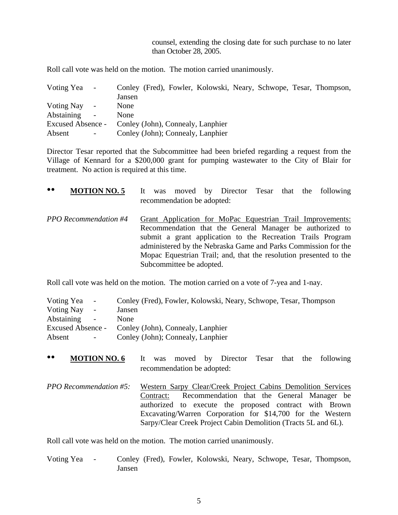counsel, extending the closing date for such purchase to no later than October 28, 2005.

Roll call vote was held on the motion. The motion carried unanimously.

| Voting Yea               | $\sim$ . |        |  |                                   |  | Conley (Fred), Fowler, Kolowski, Neary, Schwope, Tesar, Thompson, |
|--------------------------|----------|--------|--|-----------------------------------|--|-------------------------------------------------------------------|
|                          |          | Jansen |  |                                   |  |                                                                   |
| <b>Voting Nay</b>        | $\sim$ . | None   |  |                                   |  |                                                                   |
| Abstaining               | $\sim$   | None   |  |                                   |  |                                                                   |
| <b>Excused Absence -</b> |          |        |  | Conley (John), Connealy, Lanphier |  |                                                                   |
| Absent                   | $\sim$   |        |  | Conley (John); Connealy, Lanphier |  |                                                                   |

Director Tesar reported that the Subcommittee had been briefed regarding a request from the Village of Kennard for a \$200,000 grant for pumping wastewater to the City of Blair for treatment. No action is required at this time.

| $\bullet\bullet$<br><b>MOTION NO. 5</b> |  | recommendation be adopted: |  |  | It was moved by Director Tesar that the following                                                                                                                                                                                                                                                                            |
|-----------------------------------------|--|----------------------------|--|--|------------------------------------------------------------------------------------------------------------------------------------------------------------------------------------------------------------------------------------------------------------------------------------------------------------------------------|
| <b>PPO</b> Recommendation #4            |  | Subcommittee be adopted.   |  |  | Grant Application for MoPac Equestrian Trail Improvements:<br>Recommendation that the General Manager be authorized to<br>submit a grant application to the Recreation Trails Program<br>administered by the Nebraska Game and Parks Commission for the<br>Mopac Equestrian Trail; and, that the resolution presented to the |

Roll call vote was held on the motion. The motion carried on a vote of 7-yea and 1-nay.

| Voting Yea        | $\sim$ 100 $\mu$         | Conley (Fred), Fowler, Kolowski, Neary, Schwope, Tesar, Thompson |
|-------------------|--------------------------|------------------------------------------------------------------|
| <b>Voting Nay</b> | $\overline{\phantom{a}}$ | Jansen                                                           |
| Abstaining -      |                          | <b>None</b>                                                      |
|                   |                          | Excused Absence - Conley (John), Connealy, Lanphier              |
| Absent            | $\sim 100$               | Conley (John); Connealy, Lanphier                                |

- •• **MOTION NO. 6** It was moved by Director Tesar that the following recommendation be adopted:
- *PPO Recommendation #5:* Western Sarpy Clear/Creek Project Cabins Demolition Services Contract: Recommendation that the General Manager be authorized to execute the proposed contract with Brown Excavating/Warren Corporation for \$14,700 for the Western Sarpy/Clear Creek Project Cabin Demolition (Tracts 5L and 6L).

Roll call vote was held on the motion. The motion carried unanimously.

Voting Yea - Conley (Fred), Fowler, Kolowski, Neary, Schwope, Tesar, Thompson, Jansen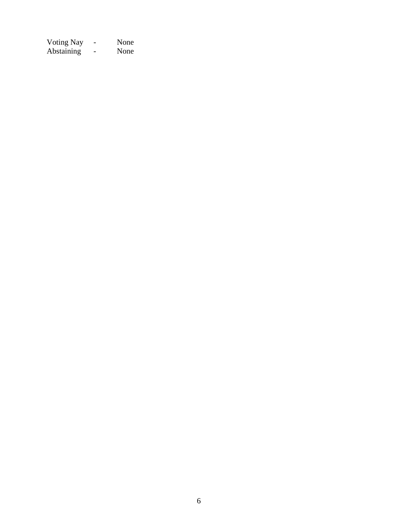Voting Nay - None Abstaining - None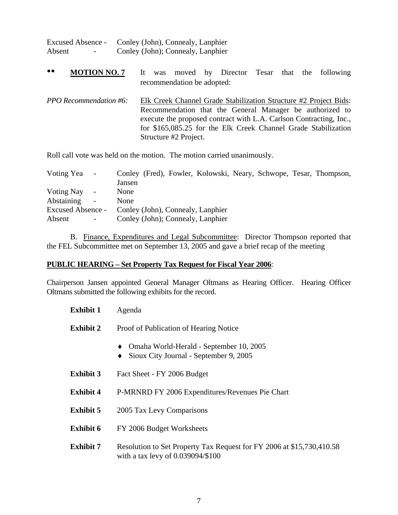| <b>Excused Absence -</b>           | Conley (John), Connealy, Lanphier |
|------------------------------------|-----------------------------------|
| Absent<br>$\overline{\phantom{0}}$ | Conley (John); Connealy, Lanphier |

- •• **MOTION NO. 7** It was moved by Director Tesar that the following recommendation be adopted:
- *PPO Recommendation #6:* Elk Creek Channel Grade Stabilization Structure #2 Project Bids: Recommendation that the General Manager be authorized to execute the proposed contract with L.A. Carlson Contracting, Inc., for \$165,085.25 for the Elk Creek Channel Grade Stabilization Structure #2 Project.

Roll call vote was held on the motion. The motion carried unanimously.

| Voting Yea        | $\sim$ |        |  |                                   |  | Conley (Fred), Fowler, Kolowski, Neary, Schwope, Tesar, Thompson, |
|-------------------|--------|--------|--|-----------------------------------|--|-------------------------------------------------------------------|
|                   |        | Jansen |  |                                   |  |                                                                   |
| Voting Nay        | $\sim$ | None   |  |                                   |  |                                                                   |
| Abstaining        | $\sim$ | None   |  |                                   |  |                                                                   |
| Excused Absence - |        |        |  | Conley (John), Connealy, Lanphier |  |                                                                   |
| Absent            |        |        |  | Conley (John); Connealy, Lanphier |  |                                                                   |

 B. Finance, Expenditures and Legal Subcommittee: Director Thompson reported that the FEL Subcommittee met on September 13, 2005 and gave a brief recap of the meeting

### **PUBLIC HEARING – Set Property Tax Request for Fiscal Year 2006**:

Chairperson Jansen appointed General Manager Oltmans as Hearing Officer. Hearing Officer Oltmans submitted the following exhibits for the record.

| Exhibit 1        | Agenda                                                                                                     |
|------------------|------------------------------------------------------------------------------------------------------------|
| <b>Exhibit 2</b> | Proof of Publication of Hearing Notice                                                                     |
|                  | Omaha World-Herald - September 10, 2005<br>Sioux City Journal - September 9, 2005<br>٠                     |
| <b>Exhibit 3</b> | Fact Sheet - FY 2006 Budget                                                                                |
| <b>Exhibit 4</b> | P-MRNRD FY 2006 Expenditures/Revenues Pie Chart                                                            |
| <b>Exhibit 5</b> | 2005 Tax Levy Comparisons                                                                                  |
| <b>Exhibit 6</b> | FY 2006 Budget Worksheets                                                                                  |
| <b>Exhibit 7</b> | Resolution to Set Property Tax Request for FY 2006 at \$15,730,410.58<br>with a tax levy of 0.039094/\$100 |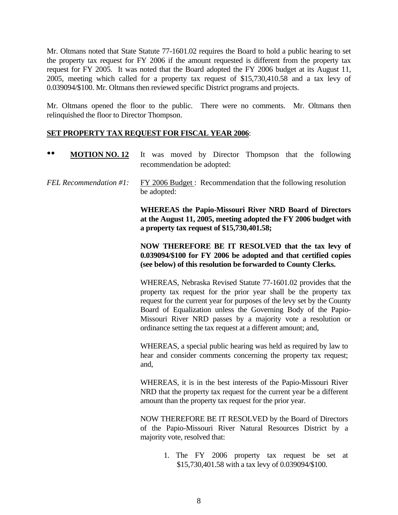Mr. Oltmans noted that State Statute 77-1601.02 requires the Board to hold a public hearing to set the property tax request for FY 2006 if the amount requested is different from the property tax request for FY 2005. It was noted that the Board adopted the FY 2006 budget at its August 11, 2005, meeting which called for a property tax request of \$15,730,410.58 and a tax levy of 0.039094/\$100. Mr. Oltmans then reviewed specific District programs and projects.

Mr. Oltmans opened the floor to the public. There were no comments. Mr. Oltmans then relinquished the floor to Director Thompson.

### **SET PROPERTY TAX REQUEST FOR FISCAL YEAR 2006**:

| <b>MOTION NO. 12</b>   | It was moved by Director Thompson that the following<br>recommendation be adopted:                                                                                                                                                                                                                                                                                                                               |  |  |  |  |  |  |  |  |
|------------------------|------------------------------------------------------------------------------------------------------------------------------------------------------------------------------------------------------------------------------------------------------------------------------------------------------------------------------------------------------------------------------------------------------------------|--|--|--|--|--|--|--|--|
| FEL Recommendation #1: | FY 2006 Budget: Recommendation that the following resolution<br>be adopted:                                                                                                                                                                                                                                                                                                                                      |  |  |  |  |  |  |  |  |
|                        | <b>WHEREAS</b> the Papio-Missouri River NRD Board of Directors<br>at the August 11, 2005, meeting adopted the FY 2006 budget with<br>a property tax request of \$15,730,401.58;                                                                                                                                                                                                                                  |  |  |  |  |  |  |  |  |
|                        | NOW THEREFORE BE IT RESOLVED that the tax levy of<br>0.039094/\$100 for FY 2006 be adopted and that certified copies<br>(see below) of this resolution be forwarded to County Clerks.                                                                                                                                                                                                                            |  |  |  |  |  |  |  |  |
|                        | WHEREAS, Nebraska Revised Statute 77-1601.02 provides that the<br>property tax request for the prior year shall be the property tax<br>request for the current year for purposes of the levy set by the County<br>Board of Equalization unless the Governing Body of the Papio-<br>Missouri River NRD passes by a majority vote a resolution or<br>ordinance setting the tax request at a different amount; and, |  |  |  |  |  |  |  |  |
|                        | WHEREAS, a special public hearing was held as required by law to<br>hear and consider comments concerning the property tax request;<br>and,                                                                                                                                                                                                                                                                      |  |  |  |  |  |  |  |  |
|                        | WHEREAS, it is in the best interests of the Papio-Missouri River<br>NRD that the property tax request for the current year be a different<br>amount than the property tax request for the prior year.                                                                                                                                                                                                            |  |  |  |  |  |  |  |  |
|                        | MOW THEREDORE BE IT RESOLVED by the Reend of Directors                                                                                                                                                                                                                                                                                                                                                           |  |  |  |  |  |  |  |  |

NOW THEREFORE BE IT RESOLVED by the Board of Directors of the Papio-Missouri River Natural Resources District by a majority vote, resolved that:

> 1. The FY 2006 property tax request be set at \$15,730,401.58 with a tax levy of 0.039094/\$100.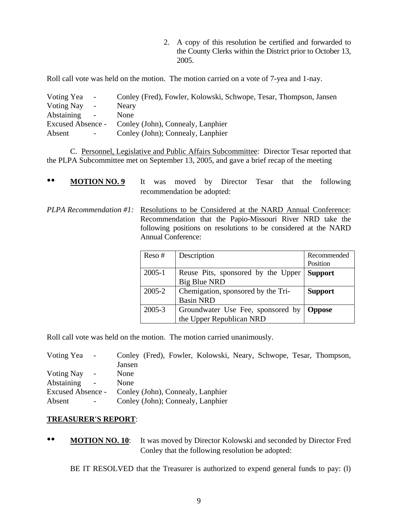2. A copy of this resolution be certified and forwarded to the County Clerks within the District prior to October 13, 2005.

Roll call vote was held on the motion. The motion carried on a vote of 7-yea and 1-nay.

| Voting Yea<br>$\blacksquare$           | Conley (Fred), Fowler, Kolowski, Schwope, Tesar, Thompson, Jansen |
|----------------------------------------|-------------------------------------------------------------------|
| <b>Voting Nay</b><br>$\blacksquare$    | Neary                                                             |
| Abstaining<br>$\overline{\phantom{a}}$ | None                                                              |
| <b>Excused Absence -</b>               | Conley (John), Connealy, Lanphier                                 |
| Absent<br>$\sim$                       | Conley (John); Connealy, Lanphier                                 |

 C. Personnel, Legislative and Public Affairs Subcommittee: Director Tesar reported that the PLPA Subcommittee met on September 13, 2005, and gave a brief recap of the meeting

| $\bullet\bullet$ | <b>MOTION NO. 9</b> It was moved by Director Tesar that the following               | recommendation be adopted: |             |  |  |                                                                                                                              |
|------------------|-------------------------------------------------------------------------------------|----------------------------|-------------|--|--|------------------------------------------------------------------------------------------------------------------------------|
|                  | PLPA Recommendation #1: Resolutions to be Considered at the NARD Annual Conference: | <b>Annual Conference:</b>  |             |  |  | Recommendation that the Papio-Missouri River NRD take the<br>following positions on resolutions to be considered at the NARD |
|                  |                                                                                     | $Reso \#$                  | Description |  |  | Recommended<br>Position                                                                                                      |

| $ResO$ $#$ | Description                                | Recommented    |
|------------|--------------------------------------------|----------------|
|            |                                            | Position       |
| $2005 - 1$ | Reuse Pits, sponsored by the Upper         | <b>Support</b> |
|            | <b>Big Blue NRD</b>                        |                |
| 2005-2     | Chemigation, sponsored by the Tri-         | <b>Support</b> |
|            | <b>Basin NRD</b>                           |                |
| $2005 - 3$ | Groundwater Use Fee, sponsored by   Oppose |                |
|            | the Upper Republican NRD                   |                |

Roll call vote was held on the motion. The motion carried unanimously.

| Voting Yea -             |          |        |  |                                   |  | Conley (Fred), Fowler, Kolowski, Neary, Schwope, Tesar, Thompson, |
|--------------------------|----------|--------|--|-----------------------------------|--|-------------------------------------------------------------------|
|                          |          | Jansen |  |                                   |  |                                                                   |
| Voting Nay -             |          | None   |  |                                   |  |                                                                   |
| <b>Abstaining</b>        | $\sim$   | None   |  |                                   |  |                                                                   |
| <b>Excused Absence -</b> |          |        |  | Conley (John), Connealy, Lanphier |  |                                                                   |
| Absent                   | $\sim$ . |        |  | Conley (John); Connealy, Lanphier |  |                                                                   |

### **TREASURER'S REPORT**:

•• **MOTION NO. 10**: It was moved by Director Kolowski and seconded by Director Fred Conley that the following resolution be adopted:

BE IT RESOLVED that the Treasurer is authorized to expend general funds to pay: (l)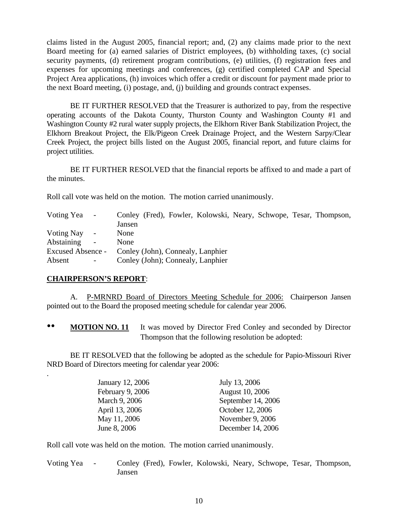claims listed in the August 2005, financial report; and, (2) any claims made prior to the next Board meeting for (a) earned salaries of District employees, (b) withholding taxes, (c) social security payments, (d) retirement program contributions, (e) utilities, (f) registration fees and expenses for upcoming meetings and conferences, (g) certified completed CAP and Special Project Area applications, (h) invoices which offer a credit or discount for payment made prior to the next Board meeting, (i) postage, and, (j) building and grounds contract expenses.

 BE IT FURTHER RESOLVED that the Treasurer is authorized to pay, from the respective operating accounts of the Dakota County, Thurston County and Washington County #1 and Washington County #2 rural water supply projects, the Elkhorn River Bank Stabilization Project, the Elkhorn Breakout Project, the Elk/Pigeon Creek Drainage Project, and the Western Sarpy/Clear Creek Project, the project bills listed on the August 2005, financial report, and future claims for project utilities.

 BE IT FURTHER RESOLVED that the financial reports be affixed to and made a part of the minutes.

Roll call vote was held on the motion. The motion carried unanimously.

| Voting Yea               | $\sim$ .       |        |  |                                   |  | Conley (Fred), Fowler, Kolowski, Neary, Schwope, Tesar, Thompson, |
|--------------------------|----------------|--------|--|-----------------------------------|--|-------------------------------------------------------------------|
|                          |                | Jansen |  |                                   |  |                                                                   |
| Voting Nay               | $\sim$         | None   |  |                                   |  |                                                                   |
| Abstaining               | $\sim$         | None   |  |                                   |  |                                                                   |
| <b>Excused Absence -</b> |                |        |  | Conley (John), Connealy, Lanphier |  |                                                                   |
| Absent                   | $\blacksquare$ |        |  | Conley (John); Connealy, Lanphier |  |                                                                   |

### **CHAIRPERSON'S REPORT**:

.

A. P-MRNRD Board of Directors Meeting Schedule for 2006: Chairperson Jansen pointed out to the Board the proposed meeting schedule for calendar year 2006.

•• **MOTION NO. 11** It was moved by Director Fred Conley and seconded by Director Thompson that the following resolution be adopted:

 BE IT RESOLVED that the following be adopted as the schedule for Papio-Missouri River NRD Board of Directors meeting for calendar year 2006:

| January 12, 2006 | July 13, 2006          |
|------------------|------------------------|
| February 9, 2006 | <b>August 10, 2006</b> |
| March 9, 2006    | September 14, 2006     |
| April 13, 2006   | October 12, 2006       |
| May 11, 2006     | November 9, 2006       |
| June 8, 2006     | December 14, 2006      |

Roll call vote was held on the motion. The motion carried unanimously.

Voting Yea - Conley (Fred), Fowler, Kolowski, Neary, Schwope, Tesar, Thompson, Jansen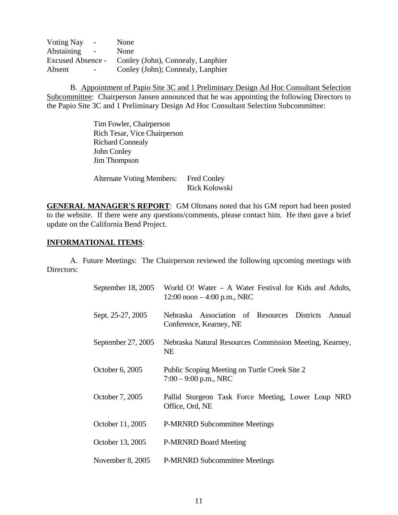| <b>Voting Nay</b><br>$\sim$ $-$ | None                              |
|---------------------------------|-----------------------------------|
| Abstaining<br>$\blacksquare$    | None                              |
| <b>Excused Absence -</b>        | Conley (John), Connealy, Lanphier |
| Absent<br>$\sim$                | Conley (John); Connealy, Lanphier |

 B. Appointment of Papio Site 3C and 1 Preliminary Design Ad Hoc Consultant Selection Subcommittee: Chairperson Jansen announced that he was appointing the following Directors to the Papio Site 3C and 1 Preliminary Design Ad Hoc Consultant Selection Subcommittee:

> Tim Fowler, Chairperson Rich Tesar, Vice Chairperson Richard Connealy John Conley Jim Thompson

 Alternate Voting Members: Fred Conley Rick Kolowski

**GENERAL MANAGER'S REPORT**: GM Oltmans noted that his GM report had been posted to the website. If there were any questions/comments, please contact him. He then gave a brief update on the California Bend Project.

### **INFORMATIONAL ITEMS**:

 A. Future Meetings: The Chairperson reviewed the following upcoming meetings with Directors:

| September 18, 2005 | World O! Water $-$ A Water Festival for Kids and Adults,<br>12:00 noon $-4:00$ p.m., NRC      |
|--------------------|-----------------------------------------------------------------------------------------------|
| Sept. 25-27, 2005  | Association of Resources<br><b>Districts</b><br>Nebraska<br>Annual<br>Conference, Kearney, NE |
| September 27, 2005 | Nebraska Natural Resources Commission Meeting, Kearney,<br><b>NE</b>                          |
| October 6, 2005    | Public Scoping Meeting on Turtle Creek Site 2<br>$7:00 - 9:00$ p.m., NRC                      |
| October 7, 2005    | Pallid Sturgeon Task Force Meeting, Lower Loup NRD<br>Office, Ord, NE                         |
| October 11, 2005   | <b>P-MRNRD Subcommittee Meetings</b>                                                          |
| October 13, 2005   | <b>P-MRNRD Board Meeting</b>                                                                  |
| November 8, 2005   | <b>P-MRNRD Subcommittee Meetings</b>                                                          |